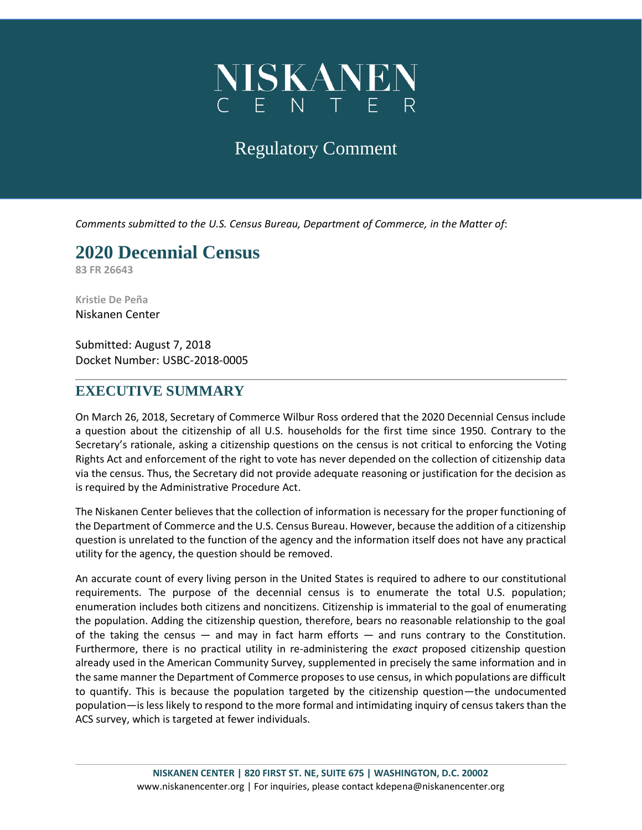

## Regulatory Comment

*Comments submitted to the U.S. Census Bureau, Department of Commerce, in the Matter of*:

# **2020 Decennial Census**

**83 FR 26643**

**Kristie De Peña** Niskanen Center

Submitted: August 7, 2018 Docket Number: USBC-2018-0005

#### **EXECUTIVE SUMMARY**

On March 26, 2018, Secretary of Commerce Wilbur Ross ordered that the 2020 Decennial Census include a question about the citizenship of all U.S. households for the first time since 1950. Contrary to the Secretary's rationale, asking a citizenship questions on the census is not critical to enforcing the Voting Rights Act and enforcement of the right to vote has never depended on the collection of citizenship data via the census. Thus, the Secretary did not provide adequate reasoning or justification for the decision as is required by the Administrative Procedure Act.

The Niskanen Center believes that the collection of information is necessary for the proper functioning of the Department of Commerce and the U.S. Census Bureau. However, because the addition of a citizenship question is unrelated to the function of the agency and the information itself does not have any practical utility for the agency, the question should be removed.

An accurate count of every living person in the United States is required to adhere to our constitutional requirements. The purpose of the decennial census is to enumerate the total U.S. population; enumeration includes both citizens and noncitizens. Citizenship is immaterial to the goal of enumerating the population. Adding the citizenship question, therefore, bears no reasonable relationship to the goal of the taking the census  $-$  and may in fact harm efforts  $-$  and runs contrary to the Constitution. Furthermore, there is no practical utility in re-administering the *exact* proposed citizenship question already used in the American Community Survey, supplemented in precisely the same information and in the same manner the Department of Commerce proposes to use census, in which populations are difficult to quantify. This is because the population targeted by the citizenship question—the undocumented population—is less likely to respond to the more formal and intimidating inquiry of census takers than the ACS survey, which is targeted at fewer individuals.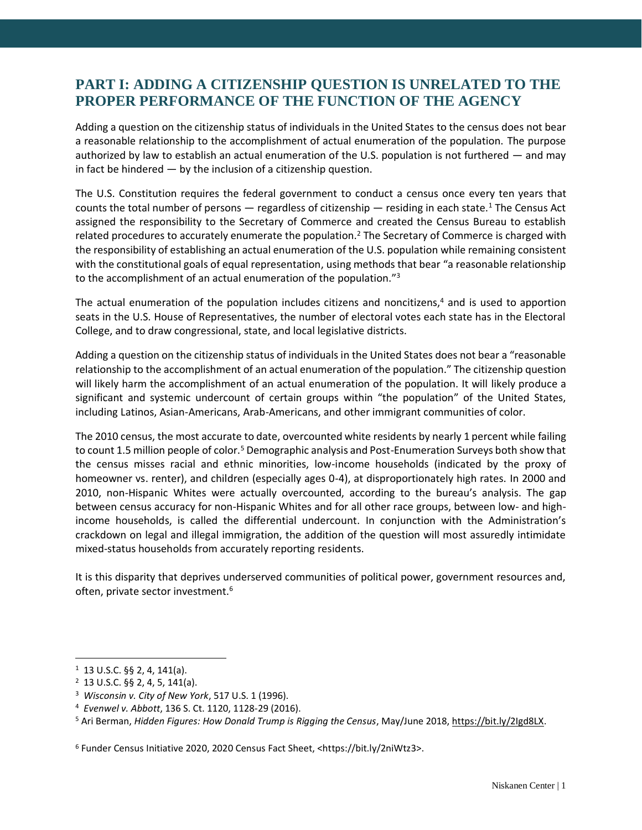## **PART I: ADDING A CITIZENSHIP QUESTION IS UNRELATED TO THE PROPER PERFORMANCE OF THE FUNCTION OF THE AGENCY**

Adding a question on the citizenship status of individuals in the United States to the census does not bear a reasonable relationship to the accomplishment of actual enumeration of the population. The purpose authorized by law to establish an actual enumeration of the U.S. population is not furthered — and may in fact be hindered  $-$  by the inclusion of a citizenship question.

The U.S. Constitution requires the federal government to conduct a census once every ten years that counts the total number of persons — regardless of citizenship — residing in each state.<sup>1</sup> The Census Act assigned the responsibility to the Secretary of Commerce and created the Census Bureau to establish related procedures to accurately enumerate the population.<sup>2</sup> The Secretary of Commerce is charged with the responsibility of establishing an actual enumeration of the U.S. population while remaining consistent with the constitutional goals of equal representation, using methods that bear "a reasonable relationship to the accomplishment of an actual enumeration of the population."<sup>3</sup>

The actual enumeration of the population includes citizens and noncitizens,<sup>4</sup> and is used to apportion seats in the U.S. House of Representatives, the number of electoral votes each state has in the Electoral College, and to draw congressional, state, and local legislative districts.

Adding a question on the citizenship status of individuals in the United States does not bear a "reasonable relationship to the accomplishment of an actual enumeration of the population." The citizenship question will likely harm the accomplishment of an actual enumeration of the population. It will likely produce a significant and systemic undercount of certain groups within "the population" of the United States, including Latinos, Asian-Americans, Arab-Americans, and other immigrant communities of color.

The 2010 census, the most accurate to date, overcounted white residents by nearly 1 percent while failing to count 1.5 million people of color.<sup>5</sup> Demographic analysis and Post-Enumeration Surveys both show that the census misses racial and ethnic minorities, low-income households (indicated by the proxy of homeowner vs. renter), and children (especially ages 0-4), at disproportionately high rates. In 2000 and 2010, non-Hispanic Whites were actually overcounted, according to the bureau's analysis. The gap between census accuracy for non-Hispanic Whites and for all other race groups, between low- and highincome households, is called the differential undercount. In conjunction with the Administration's crackdown on legal and illegal immigration, the addition of the question will most assuredly intimidate mixed-status households from accurately reporting residents.

It is this disparity that deprives underserved communities of political power, government resources and, often, private sector investment.<sup>6</sup>

 $\overline{a}$ 

 $1$  13 U.S.C. §§ 2, 4, 141(a).

<sup>2</sup> 13 U.S.C. §§ 2, 4, 5, 141(a).

<sup>3</sup> *Wisconsin v. City of New York*, 517 U.S. 1 (1996).

<sup>4</sup> *Evenwel v. Abbott*, 136 S. Ct. 1120, 1128-29 (2016).

<sup>5</sup> Ari Berman, *Hidden Figures: How Donald Trump is Rigging the Census*, May/June 2018, [https://bit.ly/2Igd8LX.](https://bit.ly/2Igd8LX)

<sup>6</sup> Funder Census Initiative 2020, 2020 Census Fact Sheet, <https://bit.ly/2niWtz3>.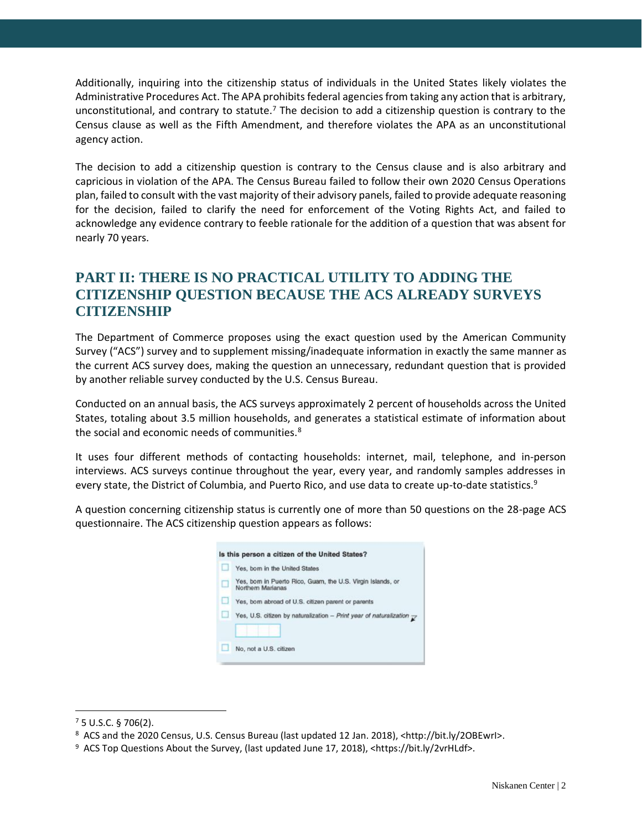Additionally, inquiring into the citizenship status of individuals in the United States likely violates the Administrative Procedures Act. The APA prohibits federal agencies from taking any action that is arbitrary, unconstitutional, and contrary to statute.<sup>7</sup> The decision to add a citizenship question is contrary to the Census clause as well as the Fifth Amendment, and therefore violates the APA as an unconstitutional agency action.

The decision to add a citizenship question is contrary to the Census clause and is also arbitrary and capricious in violation of the APA. The Census Bureau failed to follow their own 2020 Census Operations plan, failed to consult with the vast majority of their advisory panels, failed to provide adequate reasoning for the decision, failed to clarify the need for enforcement of the Voting Rights Act, and failed to acknowledge any evidence contrary to feeble rationale for the addition of a question that was absent for nearly 70 years.

### **PART II: THERE IS NO PRACTICAL UTILITY TO ADDING THE CITIZENSHIP QUESTION BECAUSE THE ACS ALREADY SURVEYS CITIZENSHIP**

The Department of Commerce proposes using the exact question used by the American Community Survey ("ACS") survey and to supplement missing/inadequate information in exactly the same manner as the current ACS survey does, making the question an unnecessary, redundant question that is provided by another reliable survey conducted by the U.S. Census Bureau.

Conducted on an annual basis, the ACS surveys approximately 2 percent of households across the United States, totaling about 3.5 million households, and generates a statistical estimate of information about the social and economic needs of communities.<sup>8</sup>

It uses four different methods of contacting households: internet, mail, telephone, and in-person interviews. ACS surveys continue throughout the year, every year, and randomly samples addresses in every state, the District of Columbia, and Puerto Rico, and use data to create up-to-date statistics.<sup>9</sup>

A question concerning citizenship status is currently one of more than 50 questions on the 28-page ACS questionnaire. The ACS citizenship question appears as follows:

| Is this person a citizen of the United States? |                                                                                  |
|------------------------------------------------|----------------------------------------------------------------------------------|
| u                                              | Yes, born in the United States                                                   |
| u                                              | Yes, born in Puerto Rico, Guam, the U.S. Virgin Islands, or<br>Northern Marianas |
| o                                              | Yes, born abroad of U.S. citizen parent or parents                               |
| u                                              | Yes, U.S. citizen by naturalization - Print year of naturalization $\rightarrow$ |
|                                                |                                                                                  |
| ш                                              | No. not a U.S. citizen                                                           |

 $\overline{a}$ 

<sup>7</sup> 5 U.S.C. § 706(2).

<sup>8</sup> ACS and the 2020 Census, U.S. Census Bureau (last updated 12 Jan. 2018), <http://bit.ly/2OBEwrI>.

<sup>&</sup>lt;sup>9</sup> ACS Top Questions About the Survey, (last updated June 17, 2018), <https://bit.ly/2vrHLdf>.